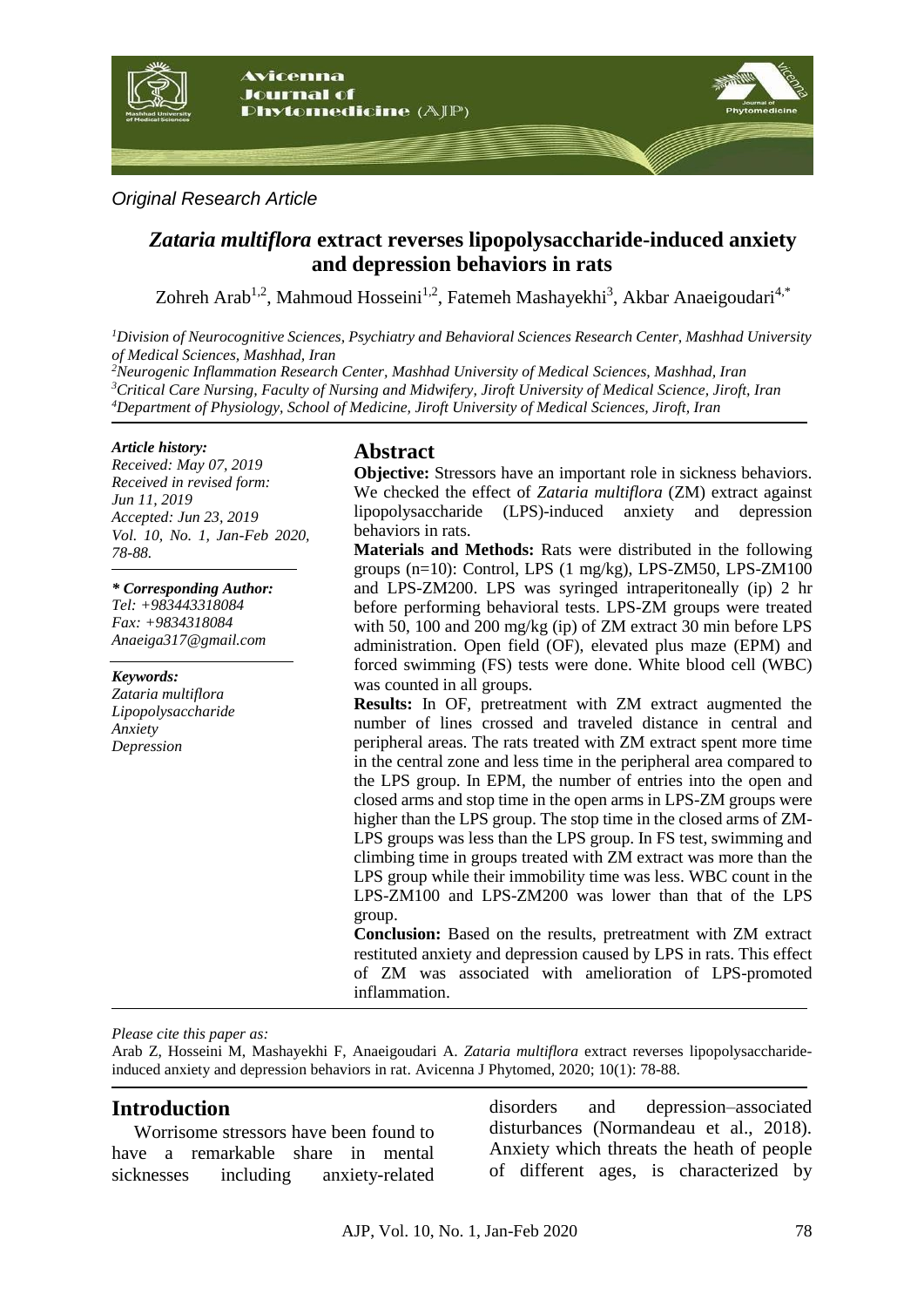

## *Original Research Article*

# *Zataria multiflora* **extract reverses lipopolysaccharide-induced anxiety and depression behaviors in rats**

Zohreh Arab<sup>1,2</sup>, Mahmoud Hosseini<sup>1,2</sup>, Fatemeh Mashayekhi<sup>3</sup>, Akbar Anaeigoudari<sup>4,\*</sup>

*<sup>1</sup>Division of Neurocognitive Sciences, Psychiatry and Behavioral Sciences Research Center, Mashhad University of Medical Sciences, Mashhad, Iran*

*<sup>2</sup>Neurogenic Inflammation Research Center, Mashhad University of Medical Sciences, Mashhad, Iran <sup>3</sup>Critical Care Nursing, Faculty of Nursing and Midwifery, Jiroft University of Medical Science, Jiroft, Iran <sup>4</sup>Department of Physiology, School of Medicine, Jiroft University of Medical Sciences, Jiroft, Iran*

### *Article history:*

*Received: May 07, 2019 Received in revised form: Jun 11, 2019 Accepted: Jun 23, 2019 Vol. 10, No. 1, Jan-Feb 2020, 78-88.*

*\* Corresponding Author: Tel: [+983443318084](tel:98-3443318084) Fax: +9834318084 [Anaeiga317@gmail.com](mailto:Anaeiga317@gmail.com)*

*Keywords: Zataria multiflora Lipopolysaccharide Anxiety Depression*

# **Abstract**

**Objective:** Stressors have an important role in sickness behaviors. We checked the effect of *Zataria multiflora* (ZM) extract against lipopolysaccharide (LPS)-induced anxiety and depression behaviors in rats.

**Materials and Methods:** Rats were distributed in the following groups (n=10): Control, LPS (1 mg/kg), LPS-ZM50, LPS-ZM100 and LPS-ZM200. LPS was syringed intraperitoneally (ip) 2 hr before performing behavioral tests. LPS-ZM groups were treated with 50, 100 and 200 mg/kg (ip) of ZM extract 30 min before LPS administration. Open field (OF), elevated plus maze (EPM) and forced swimming (FS) tests were done. White blood cell (WBC) was counted in all groups.

**Results:** In OF, pretreatment with ZM extract augmented the number of lines crossed and traveled distance in central and peripheral areas. The rats treated with ZM extract spent more time in the central zone and less time in the peripheral area compared to the LPS group. In EPM, the number of entries into the open and closed arms and stop time in the open arms in LPS-ZM groups were higher than the LPS group. The stop time in the closed arms of ZM-LPS groups was less than the LPS group. In FS test, swimming and climbing time in groups treated with ZM extract was more than the LPS group while their immobility time was less. WBC count in the LPS-ZM100 and LPS-ZM200 was lower than that of the LPS group.

**Conclusion:** Based on the results, pretreatment with ZM extract restituted anxiety and depression caused by LPS in rats. This effect of ZM was associated with amelioration of LPS-promoted inflammation.

*Please cite this paper as:* 

Arab Z, Hosseini M, Mashayekhi F, Anaeigoudari A. *Zataria multiflora* extract reverses lipopolysaccharideinduced anxiety and depression behaviors in rat. Avicenna J Phytomed, 2020; 10(1): 78-88.

## **Introduction**

Worrisome stressors have been found to have a remarkable share in mental sicknesses including anxiety-related disorders and depression–associated disturbances (Normandeau et al., 2018). Anxiety which threats the heath of people of different ages, is characterized by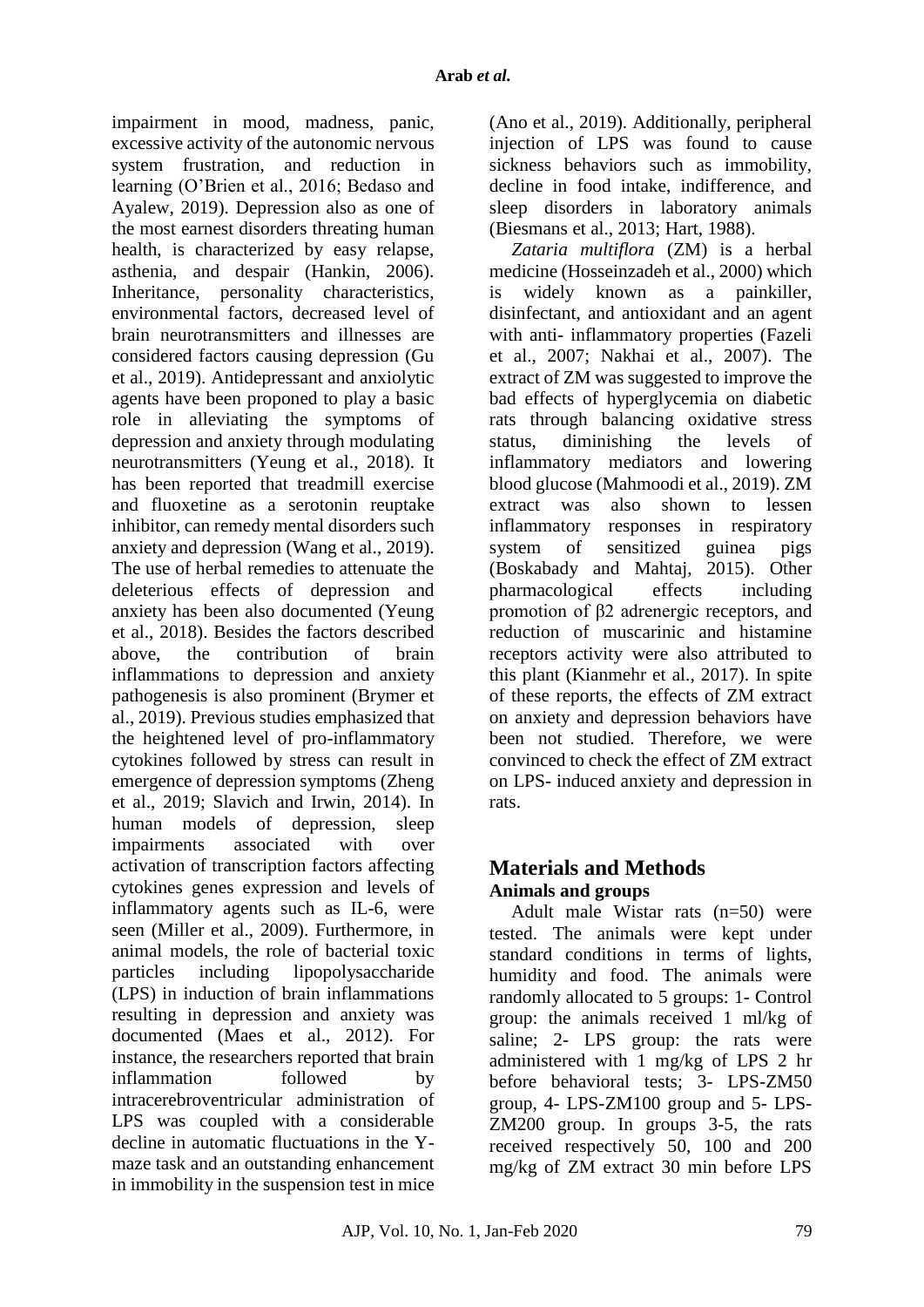impairment in mood, madness, panic, excessive activity of the autonomic nervous system frustration, and reduction in learning (O'Brien et al., 2016; Bedaso and Ayalew, 2019). Depression also as one of the most earnest disorders threating human health, is characterized by easy relapse, asthenia, and despair (Hankin, 2006). Inheritance, personality characteristics, environmental factors, decreased level of brain neurotransmitters and illnesses are considered factors causing depression (Gu et al., 2019). Antidepressant and anxiolytic agents have been proponed to play a basic role in alleviating the symptoms of depression and anxiety through modulating neurotransmitters (Yeung et al., 2018). It has been reported that treadmill exercise and fluoxetine as a serotonin reuptake inhibitor, can remedy mental disorders such anxiety and depression (Wang et al., 2019). The use of herbal remedies to attenuate the deleterious effects of depression and anxiety has been also documented (Yeung et al., 2018). Besides the factors described above, the contribution of brain inflammations to depression and anxiety pathogenesis is also prominent (Brymer et al., 2019). Previous studies emphasized that the heightened level of pro-inflammatory cytokines followed by stress can result in emergence of depression symptoms (Zheng et al., 2019; Slavich and Irwin, 2014). In human models of depression, sleep impairments associated with over activation of transcription factors affecting cytokines genes expression and levels of inflammatory agents such as IL-6, were seen (Miller et al., 2009). Furthermore, in animal models, the role of bacterial toxic particles including lipopolysaccharide (LPS) in induction of brain inflammations resulting in depression and anxiety was documented (Maes et al., 2012). For instance, the researchers reported that brain inflammation followed by intracerebroventricular administration of LPS was coupled with a considerable decline in automatic fluctuations in the Ymaze task and an outstanding enhancement in immobility in the suspension test in mice

(Ano et al., 2019). Additionally, peripheral injection of LPS was found to cause sickness behaviors such as immobility, decline in food intake, indifference, and sleep disorders in laboratory animals (Biesmans et al., 2013; Hart, 1988).

*Zataria multiflora* (ZM) is a herbal medicine (Hosseinzadeh et al., 2000) which is widely known as a painkiller, disinfectant, and antioxidant and an agent with anti- inflammatory properties (Fazeli et al., 2007; Nakhai et al., 2007). The extract of ZM was suggested to improve the bad effects of hyperglycemia on diabetic rats through balancing oxidative stress status, diminishing the levels of inflammatory mediators and lowering blood glucose (Mahmoodi et al., 2019). ZM extract was also shown to lessen inflammatory responses in respiratory system of sensitized guinea pigs (Boskabady and Mahtaj, 2015). Other pharmacological effects including promotion of β2 adrenergic receptors, and reduction of muscarinic and histamine receptors activity were also attributed to this plant (Kianmehr et al., 2017). In spite of these reports, the effects of ZM extract on anxiety and depression behaviors have been not studied. Therefore, we were convinced to check the effect of ZM extract on LPS- induced anxiety and depression in rats.

## **Materials and Methods Animals and groups**

Adult male Wistar rats (n=50) were tested. The animals were kept under standard conditions in terms of lights, humidity and food. The animals were randomly allocated to 5 groups: 1- Control group: the animals received 1 ml/kg of saline; 2- LPS group: the rats were administered with 1 mg/kg of LPS 2 hr before behavioral tests; 3- LPS-ZM50 group, 4- LPS-ZM100 group and 5- LPS-ZM200 group. In groups 3-5, the rats received respectively 50, 100 and 200 mg/kg of ZM extract 30 min before LPS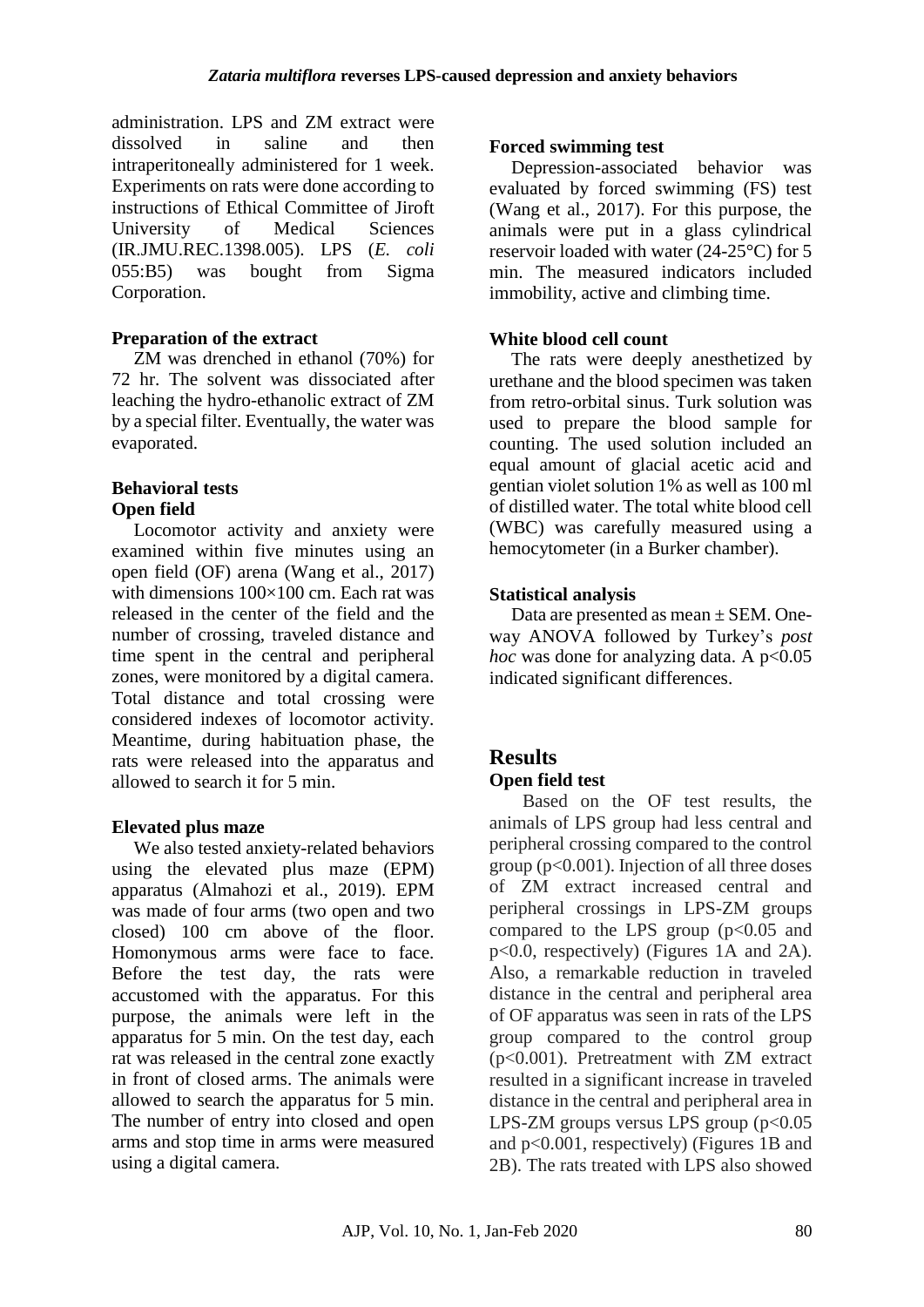administration. LPS and ZM extract were dissolved in saline and then intraperitoneally administered for 1 week. Experiments on rats were done according to instructions of Ethical Committee of Jiroft University of Medical Sciences (IR.JMU.REC.1398.005). LPS (*E. coli* 055:B5) was bought from Sigma Corporation.

## **Preparation of the extract**

ZM was drenched in ethanol (70%) for 72 hr. The solvent was dissociated after leaching the hydro-ethanolic extract of ZM by a special filter. Eventually, the water was evaporated.

## **Behavioral tests Open field**

Locomotor activity and anxiety were examined within five minutes using an open field (OF) arena (Wang et al., 2017) with dimensions  $100\times100$  cm. Each rat was released in the center of the field and the number of crossing, traveled distance and time spent in the central and peripheral zones, were monitored by a digital camera. Total distance and total crossing were considered indexes of locomotor activity. Meantime, during habituation phase, the rats were released into the apparatus and allowed to search it for 5 min.

## **Elevated plus maze**

We also tested anxiety-related behaviors using the elevated plus maze (EPM) apparatus (Almahozi et al., 2019). EPM was made of four arms (two open and two closed) 100 cm above of the floor. Homonymous arms were face to face. Before the test day, the rats were accustomed with the apparatus. For this purpose, the animals were left in the apparatus for 5 min. On the test day, each rat was released in the central zone exactly in front of closed arms. The animals were allowed to search the apparatus for 5 min. The number of entry into closed and open arms and stop time in arms were measured using a digital camera.

## **Forced swimming test**

Depression-associated behavior was evaluated by forced swimming (FS) test (Wang et al., 2017). For this purpose, the animals were put in a glass cylindrical reservoir loaded with water (24-25°C) for 5 min. The measured indicators included immobility, active and climbing time.

## **White blood cell count**

The rats were deeply anesthetized by urethane and the blood specimen was taken from retro-orbital sinus. Turk solution was used to prepare the blood sample for counting. The used solution included an equal amount of glacial acetic acid and gentian violet solution 1% as well as 100 ml of distilled water. The total white blood cell (WBC) was carefully measured using a hemocytometer (in a Burker chamber).

## **Statistical analysis**

Data are presented as mean ± SEM. Oneway ANOVA followed by Turkey's *post hoc* was done for analyzing data. A  $p<0.05$ indicated significant differences.

# **Results**

## **Open field test**

Based on the OF test results, the animals of LPS group had less central and peripheral crossing compared to the control group ( $p<0.001$ ). Injection of all three doses of ZM extract increased central and peripheral crossings in LPS-ZM groups compared to the LPS group  $(p<0.05$  and p<0.0, respectively) (Figures 1A and 2A). Also, a remarkable reduction in traveled distance in the central and peripheral area of OF apparatus was seen in rats of the LPS group compared to the control group (p<0.001). Pretreatment with ZM extract resulted in a significant increase in traveled distance in the central and peripheral area in LPS-ZM groups versus LPS group  $(p<0.05$ and p<0.001, respectively) (Figures 1B and 2B). The rats treated with LPS also showed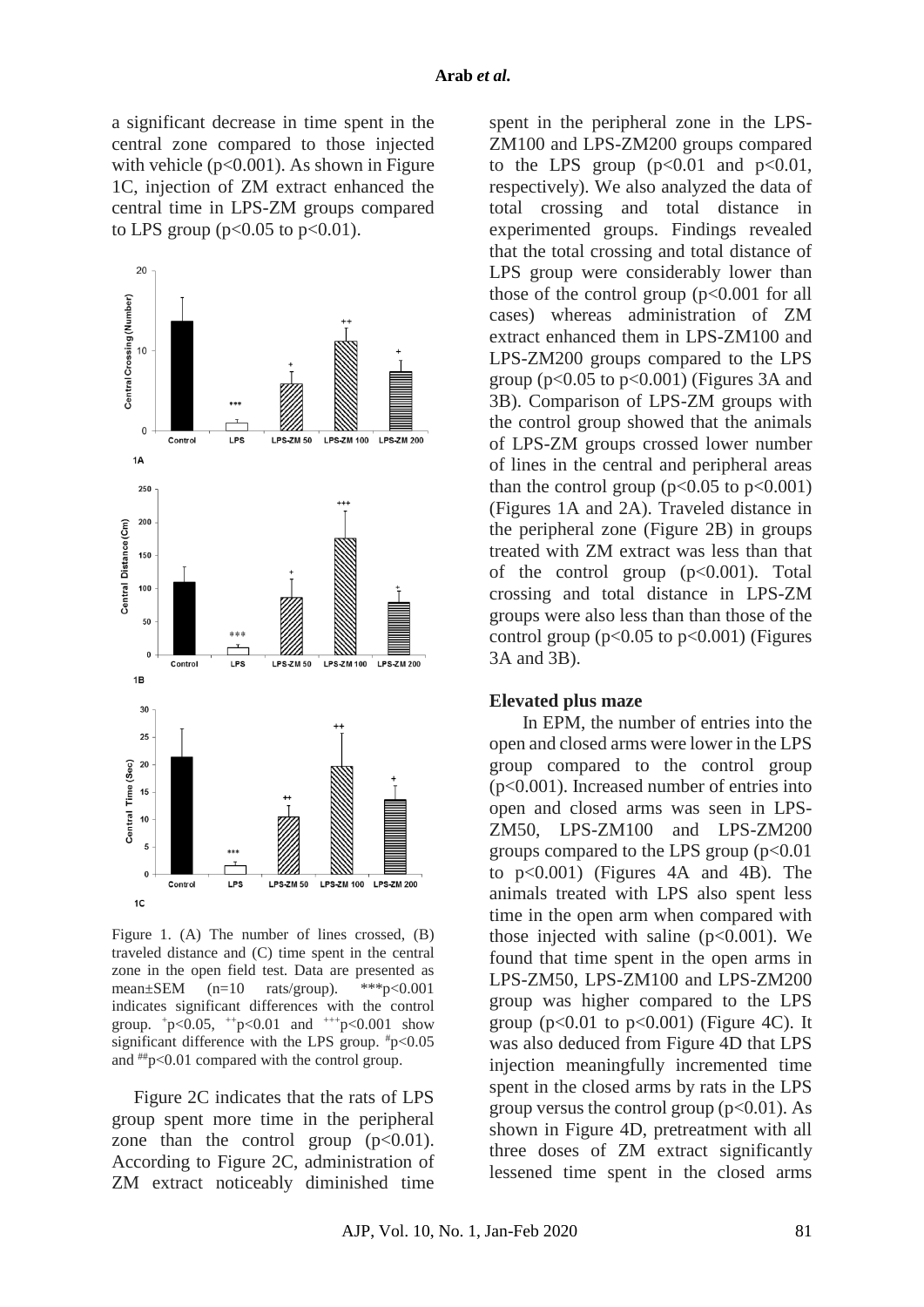a significant decrease in time spent in the central zone compared to those injected with vehicle ( $p<0.001$ ). As shown in Figure 1C, injection of ZM extract enhanced the central time in LPS-ZM groups compared to LPS group ( $p<0.05$  to  $p<0.01$ ).



Figure 1. (A) The number of lines crossed, (B) traveled distance and (C) time spent in the central zone in the open field test. Data are presented as mean±SEM (n=10 rats/group). \*\*\*p<0.001 indicates significant differences with the control group.  $+p<0.05$ ,  $+p<0.01$  and  $++p<0.001$  show significant difference with the LPS group.  $\text{#p}$ <0.05 and ##p<0.01 compared with the control group.

Figure 2C indicates that the rats of LPS group spent more time in the peripheral zone than the control group  $(p<0.01)$ . According to Figure 2C, administration of ZM extract noticeably diminished time

spent in the peripheral zone in the LPS-ZM100 and LPS-ZM200 groups compared to the LPS group  $(p<0.01$  and  $p<0.01$ , respectively). We also analyzed the data of total crossing and total distance in experimented groups. Findings revealed that the total crossing and total distance of LPS group were considerably lower than those of the control group (p<0.001 for all cases) whereas administration of ZM extract enhanced them in LPS-ZM100 and LPS-ZM200 groups compared to the LPS group ( $p<0.05$  to  $p<0.001$ ) (Figures 3A and 3B). Comparison of LPS-ZM groups with the control group showed that the animals of LPS-ZM groups crossed lower number of lines in the central and peripheral areas than the control group  $(p<0.05$  to  $p<0.001$ ) (Figures 1A and 2A). Traveled distance in the peripheral zone (Figure 2B) in groups treated with ZM extract was less than that of the control group  $(p<0.001)$ . Total crossing and total distance in LPS-ZM groups were also less than than those of the control group ( $p<0.05$  to  $p<0.001$ ) (Figures 3A and 3B).

#### **Elevated plus maze**

In EPM, the number of entries into the open and closed arms were lower in the LPS group compared to the control group (p<0.001). Increased number of entries into open and closed arms was seen in LPS-ZM50, LPS-ZM100 and LPS-ZM200 groups compared to the LPS group  $(p<0.01)$ to p<0.001) (Figures 4A and 4B). The animals treated with LPS also spent less time in the open arm when compared with those injected with saline  $(p<0.001)$ . We found that time spent in the open arms in LPS-ZM50, LPS-ZM100 and LPS-ZM200 group was higher compared to the LPS group ( $p<0.01$  to  $p<0.001$ ) (Figure 4C). It was also deduced from Figure 4D that LPS injection meaningfully incremented time spent in the closed arms by rats in the LPS group versus the control group  $(p<0.01)$ . As shown in Figure 4D, pretreatment with all three doses of ZM extract significantly lessened time spent in the closed arms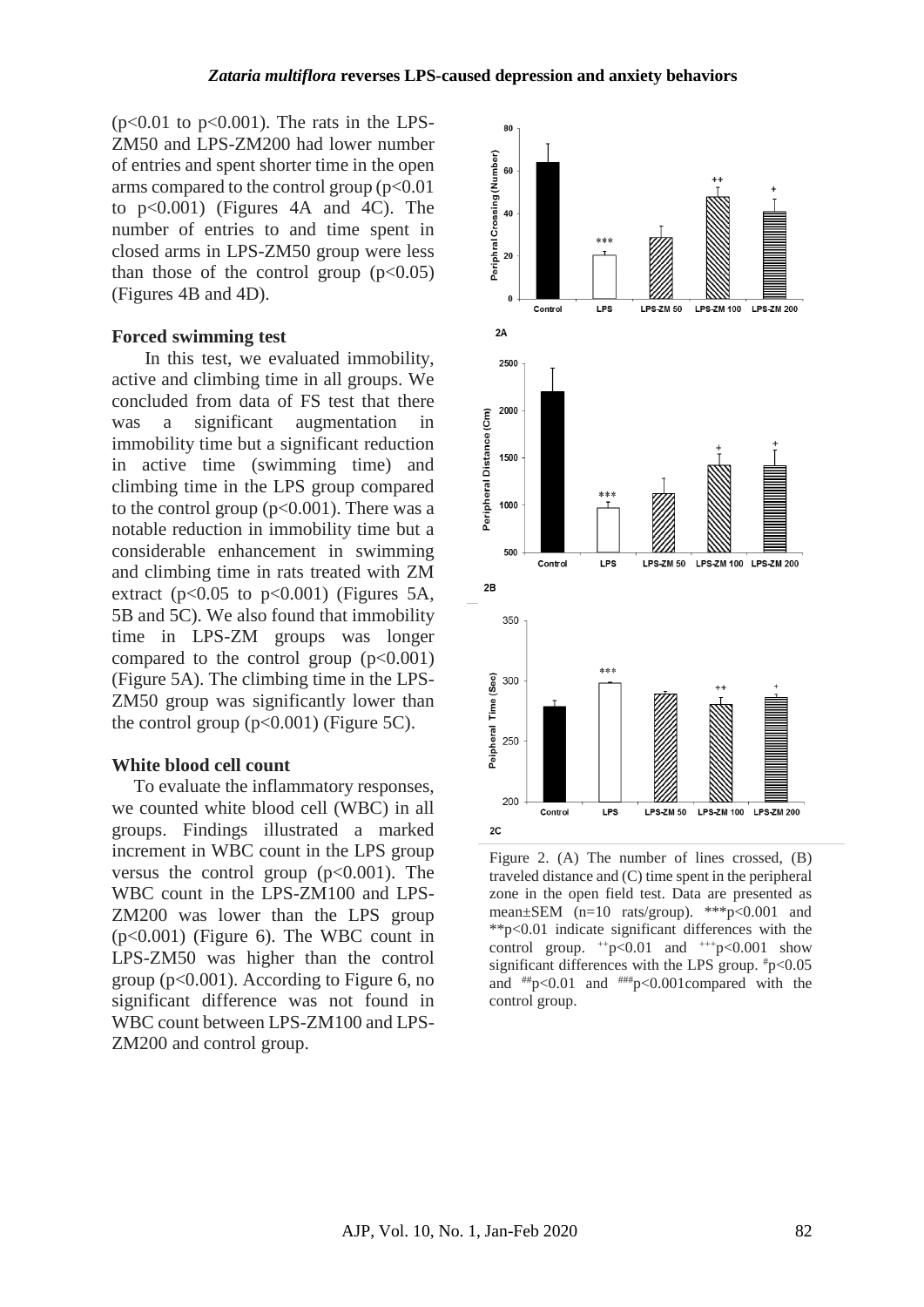$(p<0.01$  to  $p<0.001$ ). The rats in the LPS-ZM50 and LPS-ZM200 had lower number of entries and spent shorter time in the open arms compared to the control group  $(p<0.01$ to p<0.001) (Figures 4A and 4C). The number of entries to and time spent in closed arms in LPS-ZM50 group were less than those of the control group  $(p<0.05)$ (Figures 4B and 4D).

### **Forced swimming test**

In this test, we evaluated immobility, active and climbing time in all groups. We concluded from data of FS test that there was a significant augmentation in immobility time but a significant reduction in active time (swimming time) and climbing time in the LPS group compared to the control group  $(p<0.001)$ . There was a notable reduction in immobility time but a considerable enhancement in swimming and climbing time in rats treated with ZM extract ( $p<0.05$  to  $p<0.001$ ) (Figures 5A, 5B and 5C). We also found that immobility time in LPS-ZM groups was longer compared to the control group  $(p<0.001)$ (Figure 5A). The climbing time in the LPS-ZM50 group was significantly lower than the control group  $(p<0.001)$  (Figure 5C).

#### **White blood cell count**

To evaluate the inflammatory responses, we counted white blood cell (WBC) in all groups. Findings illustrated a marked increment in WBC count in the LPS group versus the control group  $(p<0.001)$ . The WBC count in the LPS-ZM100 and LPS-ZM200 was lower than the LPS group (p<0.001) (Figure 6). The WBC count in LPS-ZM50 was higher than the control group (p<0.001). According to Figure 6, no significant difference was not found in WBC count between LPS-ZM100 and LPS-ZM200 and control group.



Figure 2. (A) The number of lines crossed, (B) traveled distance and (C) time spent in the peripheral zone in the open field test. Data are presented as mean±SEM (n=10 rats/group). \*\*\*p<0.001 and \*\*p<0.01 indicate significant differences with the control group.  $+p<0.01$  and  $++p<0.001$  show significant differences with the LPS group.  $*_{p<0.05}$ and  $^{***}p<0.01$  and  $^{***}p<0.001$ compared with the control group.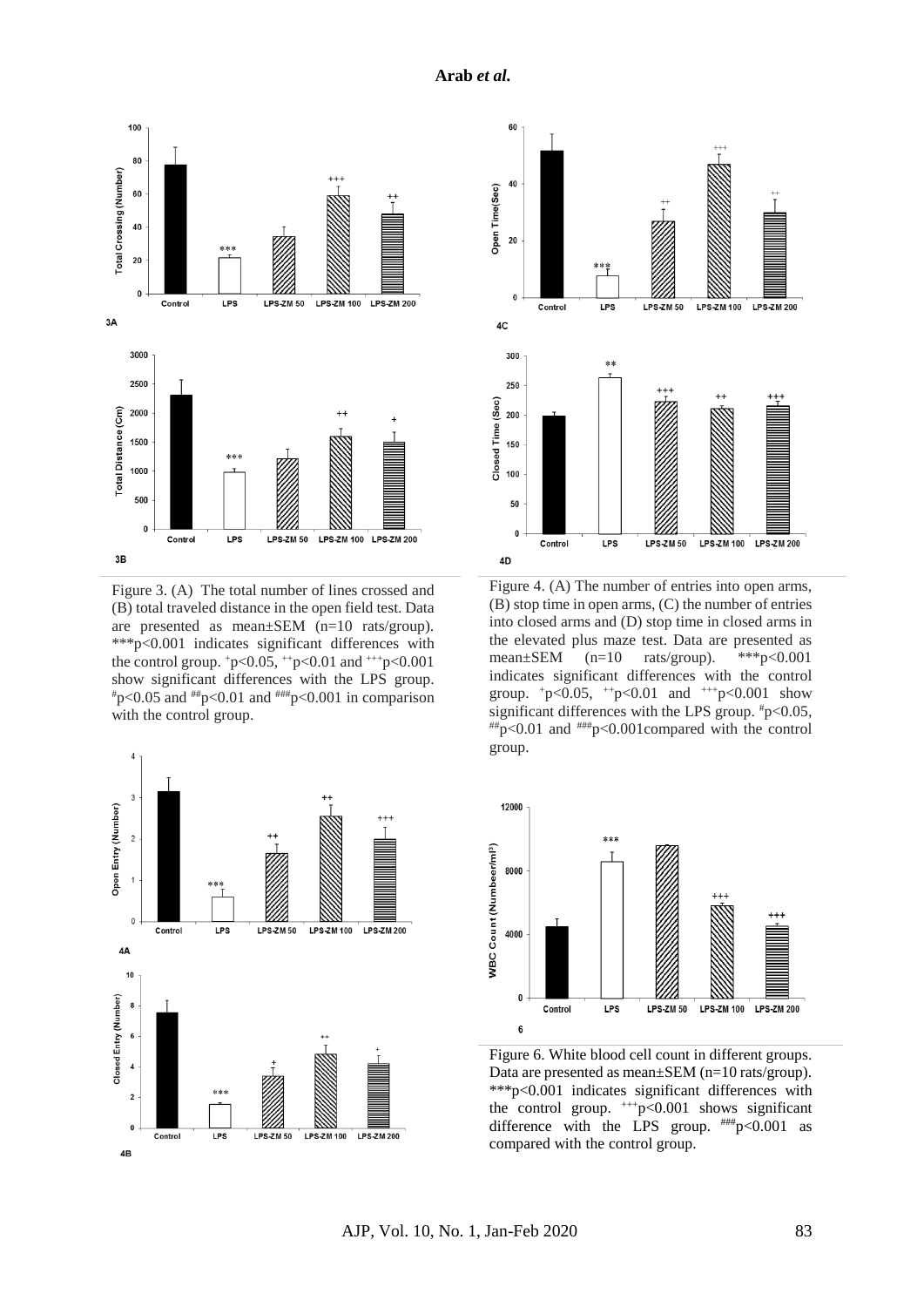

Figure 3. (A) The total number of lines crossed and (B) total traveled distance in the open field test. Data are presented as mean±SEM (n=10 rats/group). \*\*\*p<0.001 indicates significant differences with the control group.  $+p<0.05$ ,  $+p<0.01$  and  $++p<0.001$ show significant differences with the LPS group.  $^{*}p<0.05$  and  $^{***}p<0.01$  and  $^{***}p<0.001$  in comparison with the control group.





Figure 4. (A) The number of entries into open arms, (B) stop time in open arms, (C) the number of entries into closed arms and (D) stop time in closed arms in the elevated plus maze test. Data are presented as mean±SEM (n=10 rats/group). \*\*\*p<0.001 indicates significant differences with the control group.  $+p<0.05$ ,  $+p<0.01$  and  $+p<0.001$  show significant differences with the LPS group.  $\textsuperscript{#}p<0.05$ ,  $^{***}p<0.01$  and  $^{***}p<0.001$ compared with the control group.



Figure 6. White blood cell count in different groups. Data are presented as mean±SEM (n=10 rats/group). \*\*\*p<0.001 indicates significant differences with the control group.  $^{+++}p<0.001$  shows significant difference with the LPS group.  $^{***}p<0.001$  as compared with the control group.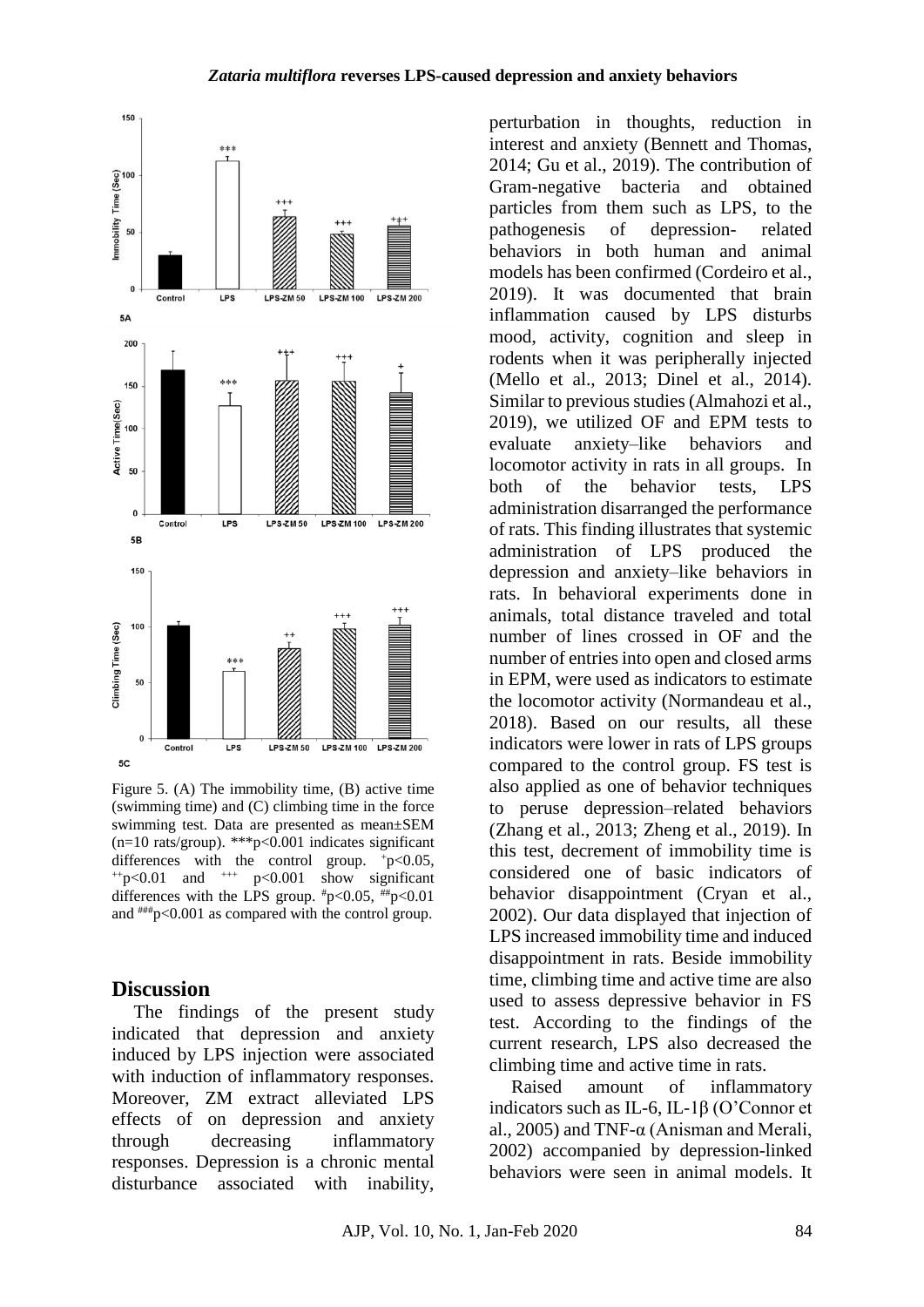### *Zataria multiflora* **reverses LPS-caused depression and anxiety behaviors**



Figure 5. (A) The immobility time, (B) active time (swimming time) and (C) climbing time in the force swimming test. Data are presented as mean±SEM (n=10 rats/group). \*\*\*p< $\leq 0.001$  indicates significant differences with the control group. +p<0.05,  $^{++}p<0.01$  and  $^{++}p<0.001$  show significant differences with the LPS group.  $\text{#p}$ <0.05,  $\text{#p}$ <0.01 and  $\text{***}$  p<0.001 as compared with the control group.

### **Discussion**

The findings of the present study indicated that depression and anxiety induced by LPS injection were associated with induction of inflammatory responses. Moreover, ZM extract alleviated LPS effects of on depression and anxiety through decreasing inflammatory responses. Depression is a chronic mental disturbance associated with inability,

perturbation in thoughts, reduction in interest and anxiety (Bennett and Thomas, 2014; Gu et al., 2019). The contribution of Gram-negative bacteria and obtained particles from them such as LPS, to the pathogenesis of depression- related behaviors in both human and animal models has been confirmed (Cordeiro et al., 2019). It was documented that brain inflammation caused by LPS disturbs mood, activity, cognition and sleep in rodents when it was peripherally injected (Mello et al., 2013; Dinel et al., 2014). Similar to previous studies (Almahozi et al., 2019), we utilized OF and EPM tests to evaluate anxiety–like behaviors and locomotor activity in rats in all groups. In both of the behavior tests, LPS administration disarranged the performance of rats. This finding illustrates that systemic administration of LPS produced the depression and anxiety–like behaviors in rats. In behavioral experiments done in animals, total distance traveled and total number of lines crossed in OF and the number of entries into open and closed arms in EPM, were used as indicators to estimate the locomotor activity (Normandeau et al., 2018). Based on our results, all these indicators were lower in rats of LPS groups compared to the control group. FS test is also applied as one of behavior techniques to peruse depression–related behaviors (Zhang et al., 2013; Zheng et al., 2019). In this test, decrement of immobility time is considered one of basic indicators of behavior disappointment (Cryan et al., 2002). Our data displayed that injection of LPS increased immobility time and induced disappointment in rats. Beside immobility time, climbing time and active time are also used to assess depressive behavior in FS test. According to the findings of the current research, LPS also decreased the climbing time and active time in rats.

Raised amount of inflammatory indicators such as IL-6, IL-1β (O'Connor et al., 2005) and TNF-α (Anisman and Merali, 2002) accompanied by depression-linked behaviors were seen in animal models. It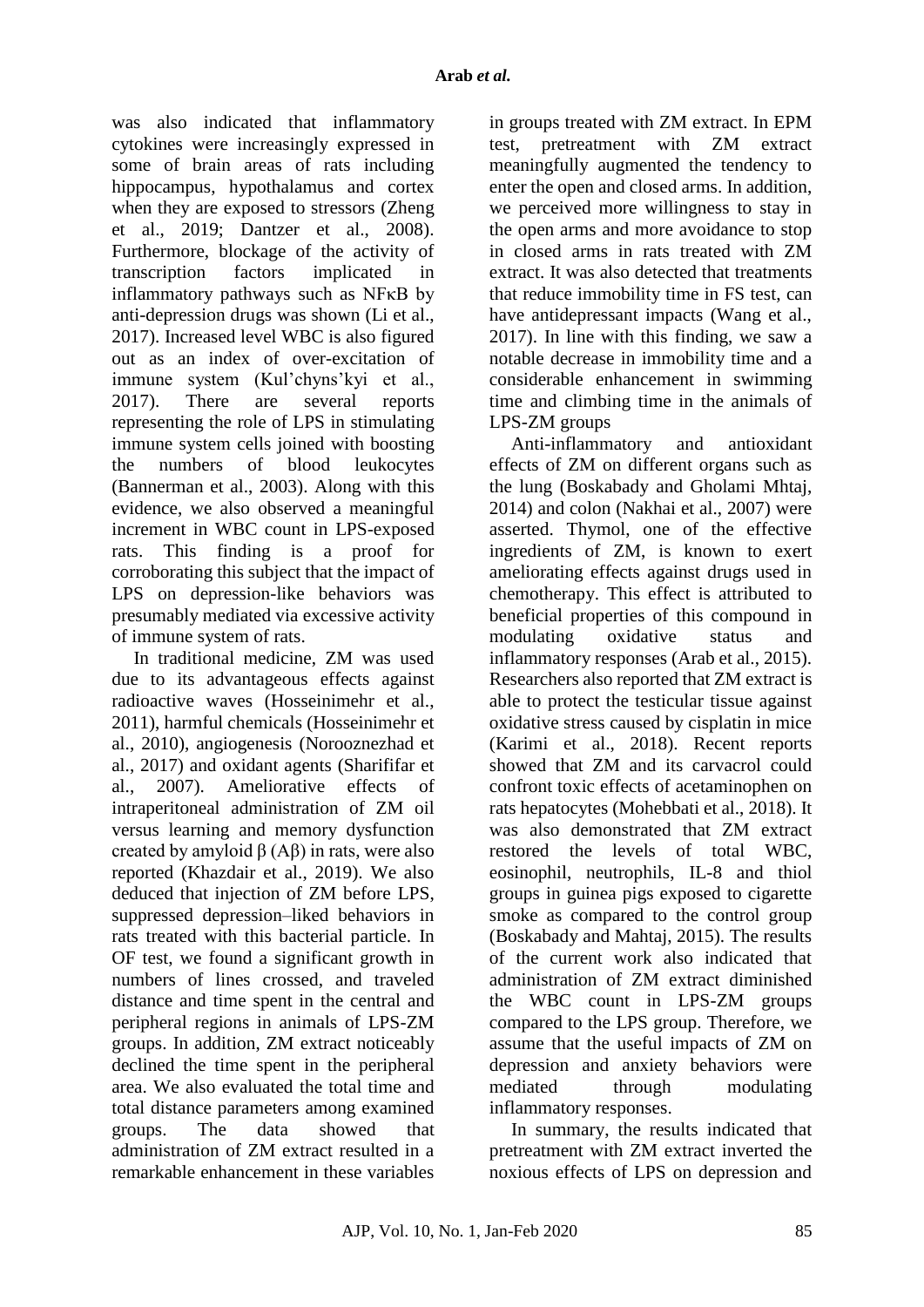was also indicated that inflammatory cytokines were increasingly expressed in some of brain areas of rats including hippocampus, hypothalamus and cortex when they are exposed to stressors (Zheng et al., 2019; Dantzer et al., 2008). Furthermore, blockage of the activity of transcription factors implicated in inflammatory pathways such as NFκB by anti-depression drugs was shown (Li et al., 2017). Increased level WBC is also figured out as an index of over-excitation of immune system (Kul'chyns'kyi et al., 2017). There are several reports representing the role of LPS in stimulating immune system cells joined with boosting the numbers of blood leukocytes (Bannerman et al., 2003). Along with this evidence, we also observed a meaningful increment in WBC count in LPS-exposed rats. This finding is a proof for corroborating this subject that the impact of LPS on depression-like behaviors was presumably mediated via excessive activity of immune system of rats.

In traditional medicine, ZM was used due to its advantageous effects against radioactive waves (Hosseinimehr et al., 2011), harmful chemicals (Hosseinimehr et al., 2010), angiogenesis (Norooznezhad et al., 2017) and oxidant agents (Sharififar et al., 2007). Ameliorative effects of intraperitoneal administration of ZM oil versus learning and memory dysfunction created by amyloid  $β$  (A $β$ ) in rats, were also reported (Khazdair et al., 2019). We also deduced that injection of ZM before LPS, suppressed depression–liked behaviors in rats treated with this bacterial particle. In OF test, we found a significant growth in numbers of lines crossed, and traveled distance and time spent in the central and peripheral regions in animals of LPS-ZM groups. In addition, ZM extract noticeably declined the time spent in the peripheral area. We also evaluated the total time and total distance parameters among examined groups. The data showed that administration of ZM extract resulted in a remarkable enhancement in these variables

in groups treated with ZM extract. In EPM test, pretreatment with ZM extract meaningfully augmented the tendency to enter the open and closed arms. In addition, we perceived more willingness to stay in the open arms and more avoidance to stop in closed arms in rats treated with ZM extract. It was also detected that treatments that reduce immobility time in FS test, can have antidepressant impacts (Wang et al., 2017). In line with this finding, we saw a notable decrease in immobility time and a considerable enhancement in swimming time and climbing time in the animals of LPS-ZM groups

Anti-inflammatory and antioxidant effects of ZM on different organs such as the lung (Boskabady and Gholami Mhtaj, 2014) and colon (Nakhai et al., 2007) were asserted. Thymol, one of the effective ingredients of ZM, is known to exert ameliorating effects against drugs used in chemotherapy. This effect is attributed to beneficial properties of this compound in modulating oxidative status and inflammatory responses (Arab et al., 2015). Researchers also reported that ZM extract is able to protect the testicular tissue against oxidative stress caused by cisplatin in mice (Karimi et al., 2018). Recent reports showed that ZM and its carvacrol could confront toxic effects of acetaminophen on rats hepatocytes (Mohebbati et al., 2018). It was also demonstrated that ZM extract restored the levels of total WBC, eosinophil, neutrophils, IL-8 and thiol groups in guinea pigs exposed to cigarette smoke as compared to the control group (Boskabady and Mahtaj, 2015). The results of the current work also indicated that administration of ZM extract diminished the WBC count in LPS-ZM groups compared to the LPS group. Therefore, we assume that the useful impacts of ZM on depression and anxiety behaviors were mediated through modulating inflammatory responses.

In summary, the results indicated that pretreatment with ZM extract inverted the noxious effects of LPS on depression and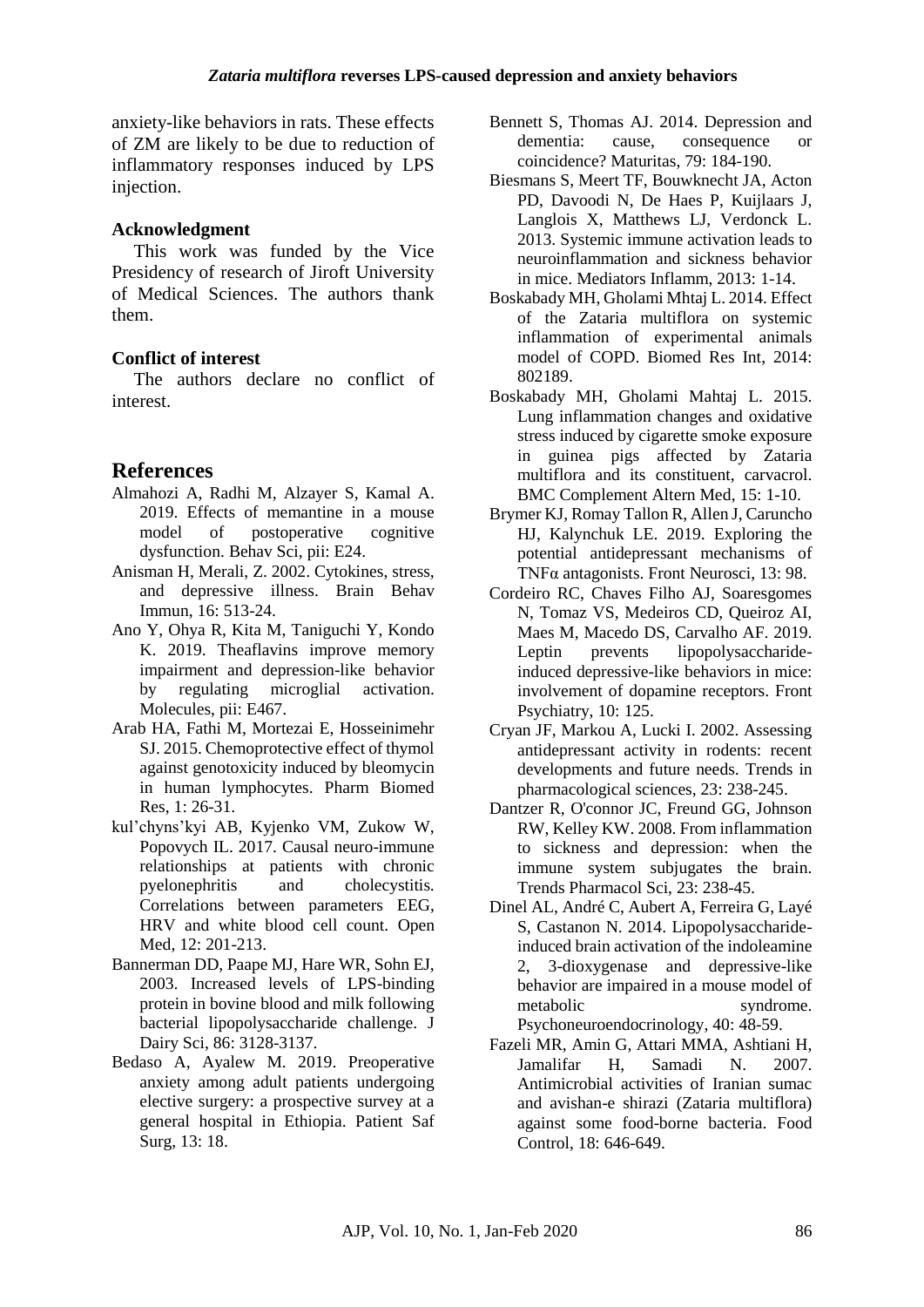anxiety-like behaviors in rats. These effects of ZM are likely to be due to reduction of inflammatory responses induced by LPS injection.

## **Acknowledgment**

This work was funded by the Vice Presidency of research of Jiroft University of Medical Sciences. The authors thank them.

## **Conflict of interest**

The authors declare no conflict of interest.

## **References**

- Almahozi A, Radhi M, Alzayer S, Kamal A. 2019. Effects of memantine in a mouse model of postoperative cognitive dysfunction. Behav Sci, pii: E24.
- Anisman H, Merali, Z. 2002. Cytokines, stress, and depressive illness. Brain Behav Immun, 16: 513-24.
- Ano Y, Ohya R, Kita M, Taniguchi Y, Kondo K. 2019. Theaflavins improve memory impairment and depression-like behavior by regulating microglial activation. Molecules, pii: E467.
- Arab HA, Fathi M, Mortezai E, Hosseinimehr SJ. 2015. Chemoprotective effect of thymol against genotoxicity induced by bleomycin in human lymphocytes. Pharm Biomed Res, 1: 26-31.
- kul'chyns'kyi AB, Kyjenko VM, Zukow W, Popovych IL. 2017. Causal neuro-immune relationships at patients with chronic pyelonephritis and cholecystitis. Correlations between parameters EEG, HRV and white blood cell count. Open Med, 12: 201-213.
- Bannerman DD, Paape MJ, Hare WR, Sohn EJ, 2003. Increased levels of LPS-binding protein in bovine blood and milk following bacterial lipopolysaccharide challenge. J Dairy Sci, 86: 3128-3137.
- Bedaso A, Ayalew M. 2019. Preoperative anxiety among adult patients undergoing elective surgery: a prospective survey at a general hospital in Ethiopia. Patient Saf Surg, 13: 18.
- Bennett S, Thomas AJ. 2014. Depression and dementia: cause, consequence or coincidence? Maturitas, 79: 184-190.
- Biesmans S, Meert TF, Bouwknecht JA, Acton PD, Davoodi N, De Haes P, Kuijlaars J, Langlois X, Matthews LJ, Verdonck L. 2013. Systemic immune activation leads to neuroinflammation and sickness behavior in mice. Mediators Inflamm, 2013: 1-14.
- Boskabady MH, Gholami Mhtaj L. 2014. Effect of the Zataria multiflora on systemic inflammation of experimental animals model of COPD. Biomed Res Int, 2014: 802189.
- Boskabady MH, Gholami Mahtaj L. 2015. Lung inflammation changes and oxidative stress induced by cigarette smoke exposure in guinea pigs affected by Zataria multiflora and its constituent, carvacrol. BMC Complement Altern Med, 15: 1-10.
- Brymer KJ, Romay Tallon R, Allen J, Caruncho HJ, Kalynchuk LE. 2019. Exploring the potential antidepressant mechanisms of TNFα antagonists. Front Neurosci, 13: 98.
- Cordeiro RC, Chaves Filho AJ, Soaresgomes N, Tomaz VS, Medeiros CD, Queiroz AI, Maes M, Macedo DS, Carvalho AF. 2019. Leptin prevents lipopolysaccharideinduced depressive-like behaviors in mice: involvement of dopamine receptors. Front Psychiatry, 10: 125.
- Cryan JF, Markou A, Lucki I. 2002. Assessing antidepressant activity in rodents: recent developments and future needs. Trends in pharmacological sciences, 23: 238-245.
- Dantzer R, O'connor JC, Freund GG, Johnson RW, Kelley KW. 2008. From inflammation to sickness and depression: when the immune system subjugates the brain. Trends Pharmacol Sci, 23: 238-45.
- Dinel AL, André C, Aubert A, Ferreira G, Layé S, Castanon N. 2014. Lipopolysaccharideinduced brain activation of the indoleamine 2, 3-dioxygenase and depressive-like behavior are impaired in a mouse model of metabolic syndrome. Psychoneuroendocrinology, 40: 48-59.
- Fazeli MR, Amin G, Attari MMA, Ashtiani H, Jamalifar H, Samadi N. 2007. Antimicrobial activities of Iranian sumac and avishan-e shirazi (Zataria multiflora) against some food-borne bacteria. Food Control, 18: 646-649.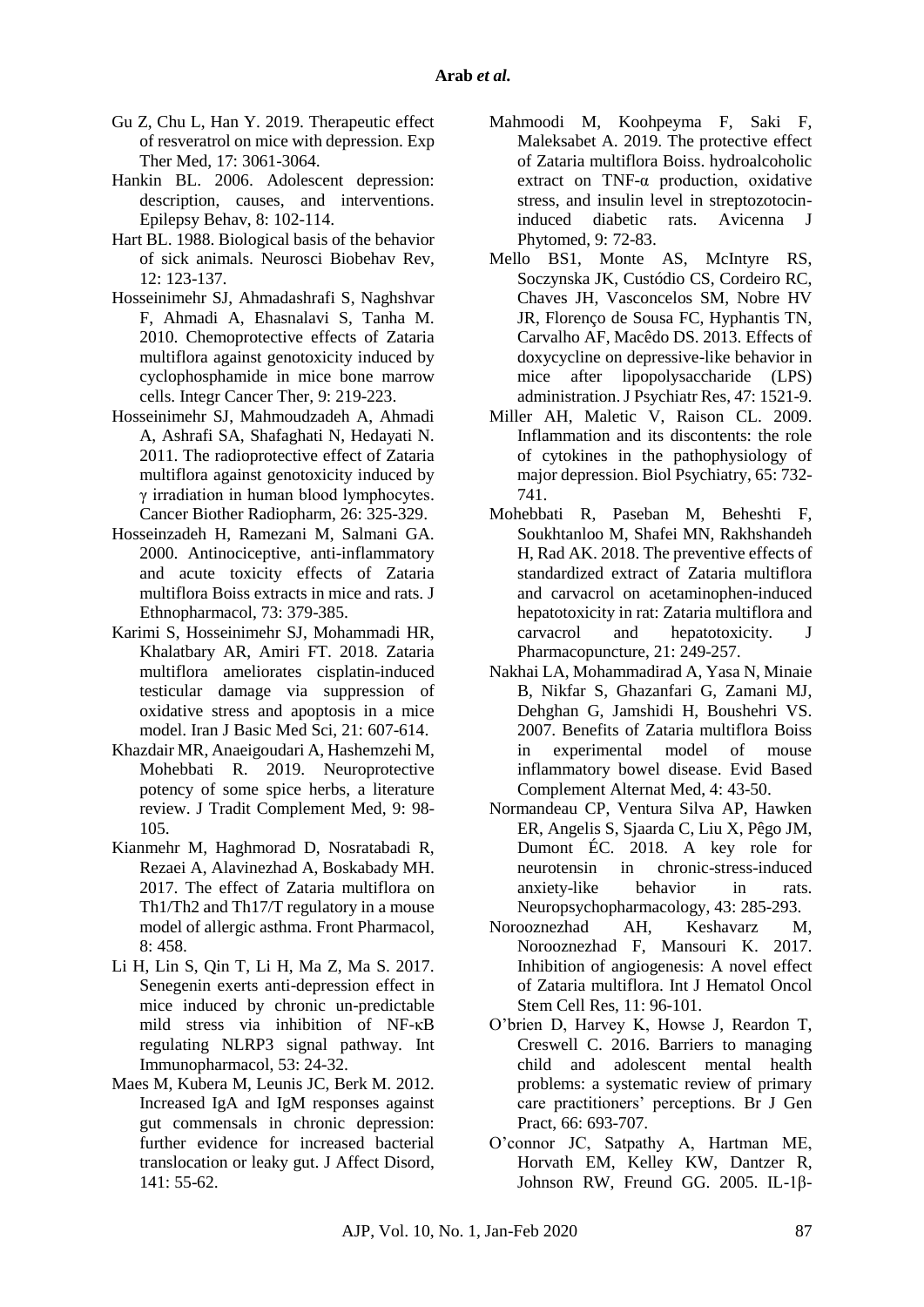- Gu Z, Chu L, Han Y. 2019. Therapeutic effect of resveratrol on mice with depression. Exp Ther Med, 17: 3061-3064.
- Hankin BL. 2006. Adolescent depression: description, causes, and interventions. Epilepsy Behav, 8: 102-114.
- Hart BL. 1988. Biological basis of the behavior of sick animals. Neurosci Biobehav Rev, 12: 123-137.
- Hosseinimehr SJ, Ahmadashrafi S, Naghshvar F, Ahmadi A, Ehasnalavi S, Tanha M. 2010. Chemoprotective effects of Zataria multiflora against genotoxicity induced by cyclophosphamide in mice bone marrow cells. Integr Cancer Ther*,* 9: 219-223.
- Hosseinimehr SJ, Mahmoudzadeh A, Ahmadi A, Ashrafi SA, Shafaghati N, Hedayati N. 2011. The radioprotective effect of Zataria multiflora against genotoxicity induced by γ irradiation in human blood lymphocytes. Cancer Biother Radiopharm, 26: 325-329.
- Hosseinzadeh H, Ramezani M, Salmani GA. 2000. Antinociceptive, anti-inflammatory and acute toxicity effects of Zataria multiflora Boiss extracts in mice and rats. J Ethnopharmacol, 73: 379-385.
- Karimi S, Hosseinimehr SJ, Mohammadi HR, Khalatbary AR, Amiri FT. 2018. Zataria multiflora ameliorates cisplatin-induced testicular damage via suppression of oxidative stress and apoptosis in a mice model. Iran J Basic Med Sci, 21: 607-614.
- Khazdair MR, Anaeigoudari A, Hashemzehi M, Mohebbati R. 2019. Neuroprotective potency of some spice herbs, a literature review. J Tradit Complement Med, 9: 98- 105.
- Kianmehr M, Haghmorad D, Nosratabadi R, Rezaei A, Alavinezhad A, Boskabady MH. 2017. The effect of Zataria multiflora on Th1/Th2 and Th17/T regulatory in a mouse model of allergic asthma. Front Pharmacol,  $8:458$
- Li H, Lin S, Qin T, Li H, Ma Z, Ma S. 2017. Senegenin exerts anti-depression effect in mice induced by chronic un-predictable mild stress via inhibition of NF-κB regulating NLRP3 signal pathway. Int Immunopharmacol, 53: 24-32.
- Maes M, Kubera M, Leunis JC, Berk M. 2012. Increased IgA and IgM responses against gut commensals in chronic depression: further evidence for increased bacterial translocation or leaky gut. J Affect Disord, 141: 55-62.
- Mahmoodi M, Koohpeyma F, Saki F, Maleksabet A. 2019. The protective effect of Zataria multiflora Boiss. hydroalcoholic extract on TNF-α production, oxidative stress, and insulin level in streptozotocininduced diabetic rats. Avicenna J Phytomed, 9: 72-83.
- Mello BS1, Monte AS, McIntyre RS, Soczynska JK, Custódio CS, Cordeiro RC, Chaves JH, Vasconcelos SM, Nobre HV JR, Florenço de Sousa FC, Hyphantis TN, Carvalho AF, Macêdo DS. 2013. Effects of doxycycline on depressive-like behavior in mice after lipopolysaccharide (LPS) administration. J Psychiatr Res, 47: 1521-9.
- Miller AH, Maletic V, Raison CL. 2009. Inflammation and its discontents: the role of cytokines in the pathophysiology of major depression. Biol Psychiatry, 65: 732- 741.
- Mohebbati R, Paseban M, Beheshti F, Soukhtanloo M, Shafei MN, Rakhshandeh H, Rad AK. 2018. The preventive effects of standardized extract of Zataria multiflora and carvacrol on acetaminophen-induced hepatotoxicity in rat: Zataria multiflora and carvacrol and hepatotoxicity. J Pharmacopuncture, 21: 249-257.
- Nakhai LA, Mohammadirad A, Yasa N, Minaie B, Nikfar S, Ghazanfari G, Zamani MJ, Dehghan G, Jamshidi H, Boushehri VS. 2007. Benefits of Zataria multiflora Boiss in experimental model of mouse inflammatory bowel disease. Evid Based Complement Alternat Med, 4: 43-50.
- Normandeau CP, Ventura Silva AP, Hawken ER, Angelis S, Sjaarda C, Liu X, Pêgo JM, Dumont ÉC. 2018. A key role for neurotensin in chronic-stress-induced anxiety-like behavior in rats. Neuropsychopharmacology, 43: 285-293.
- Norooznezhad AH, Keshavarz M, Norooznezhad F, Mansouri K. 2017. Inhibition of angiogenesis: A novel effect of Zataria multiflora. Int J Hematol Oncol Stem Cell Res, 11: 96-101.
- O'brien D, Harvey K, Howse J, Reardon T, Creswell C. 2016. Barriers to managing child and adolescent mental health problems: a systematic review of primary care practitioners' perceptions. Br J Gen Pract, 66: 693-707.
- O'connor JC, Satpathy A, Hartman ME, Horvath EM, Kelley KW, Dantzer R, Johnson RW, Freund GG. 2005. IL-1β-